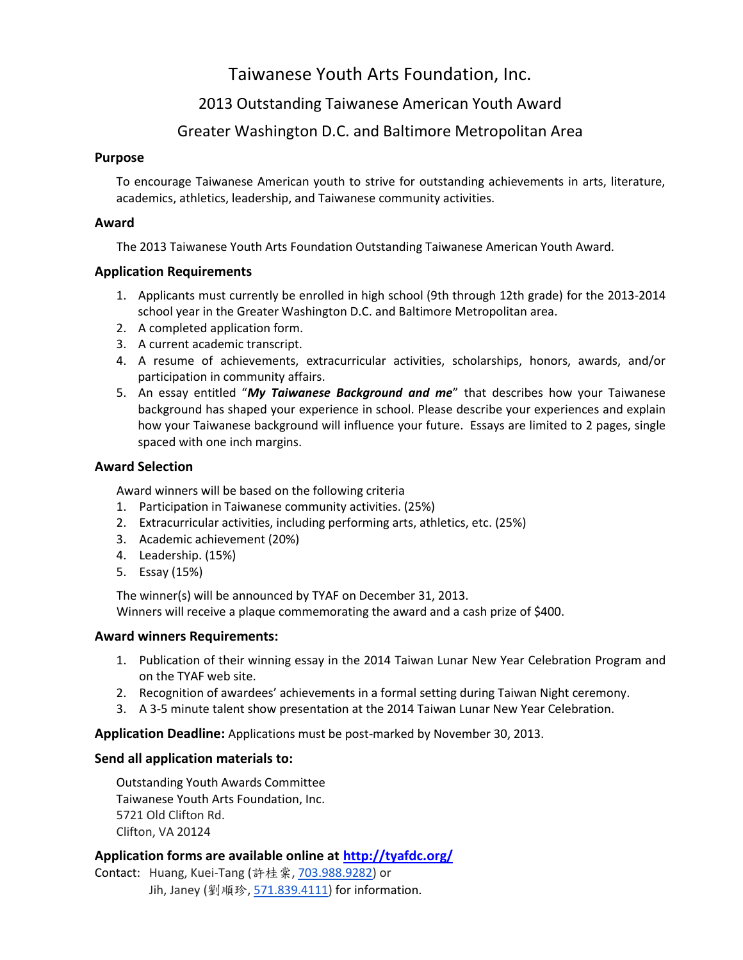## Taiwanese Youth Arts Foundation, Inc.

## 2013 Outstanding Taiwanese American Youth Award

### Greater Washington D.C. and Baltimore Metropolitan Area

#### **Purpose**

To encourage Taiwanese American youth to strive for outstanding achievements in arts, literature, academics, athletics, leadership, and Taiwanese community activities.

#### **Award**

The 2013 Taiwanese Youth Arts Foundation Outstanding Taiwanese American Youth Award.

#### **Application Requirements**

- 1. Applicants must currently be enrolled in high school (9th through 12th grade) for the 2013-2014 school year in the Greater Washington D.C. and Baltimore Metropolitan area.
- 2. A completed application form.
- 3. A current academic transcript.
- 4. A resume of achievements, extracurricular activities, scholarships, honors, awards, and/or participation in community affairs.
- 5. An essay entitled "*My Taiwanese Background and me*" that describes how your Taiwanese background has shaped your experience in school. Please describe your experiences and explain how your Taiwanese background will influence your future. Essays are limited to 2 pages, single spaced with one inch margins.

#### **Award Selection**

Award winners will be based on the following criteria

- 1. Participation in Taiwanese community activities. (25%)
- 2. Extracurricular activities, including performing arts, athletics, etc. (25%)
- 3. Academic achievement (20%)
- 4. Leadership. (15%)
- 5. Essay (15%)

The winner(s) will be announced by TYAF on December 31, 2013. Winners will receive a plaque commemorating the award and a cash prize of \$400.

#### **Award winners Requirements:**

- 1. Publication of their winning essay in the 2014 Taiwan Lunar New Year Celebration Program and on the TYAF web site.
- 2. Recognition of awardees' achievements in a formal setting during Taiwan Night ceremony.
- 3. A 3-5 minute talent show presentation at the 2014 Taiwan Lunar New Year Celebration.

**Application Deadline:** Applications must be post-marked by November 30, 2013.

#### **Send all application materials to:**

Outstanding Youth Awards Committee Taiwanese Youth Arts Foundation, Inc. 5721 Old Clifton Rd. Clifton, VA 20124

#### **Application forms are available online at<http://tyafdc.org/>**

Contact: Huang, Kuei-Tang (許桂棠, [703.988.9282\)](tel:703.988.9282) or Jih, Janey (劉順珍, [571.839.4111\)](tel:571.839.4111) for information.